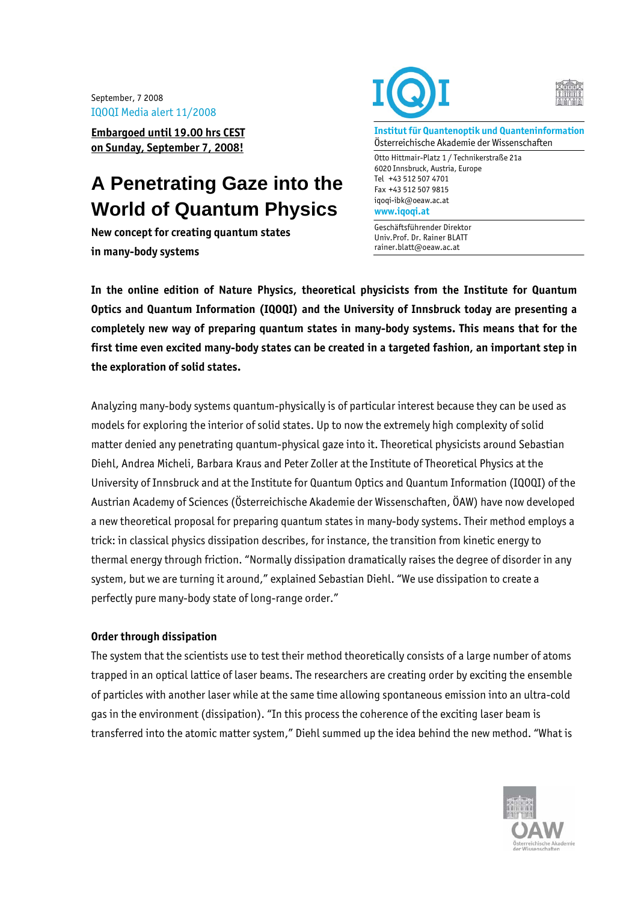September, 7 2008 IQOQI Media alert 11/2008

**Embargoed until 19.00 hrs CEST on Sunday, September 7, 2008!**

# **A Penetrating Gaze into the World of Quantum Physics**

**New concept for creating quantum states in many-body systems** 





**Institut für Quantenoptik und Quanteninformation**  Österreichische Akademie der Wissenschaften

Otto Hittmair-Platz 1 / Technikerstraße 21a 6020 Innsbruck, Austria, Europe Tel +43 512 507 4701 Fax +43 512 507 9815 iqoqi-ibk@oeaw.ac.at **www.iqoqi.at** 

Geschäftsführender Direktor Univ.Prof. Dr. Rainer BLATT rainer.blatt@oeaw.ac.at

**In the online edition of Nature Physics, theoretical physicists from the Institute for Quantum Optics and Quantum Information (IQOQI) and the University of Innsbruck today are presenting a completely new way of preparing quantum states in many-body systems. This means that for the first time even excited many-body states can be created in a targeted fashion, an important step in the exploration of solid states.** 

Analyzing many-body systems quantum-physically is of particular interest because they can be used as models for exploring the interior of solid states. Up to now the extremely high complexity of solid matter denied any penetrating quantum-physical gaze into it. Theoretical physicists around Sebastian Diehl, Andrea Micheli, Barbara Kraus and Peter Zoller at the Institute of Theoretical Physics at the University of Innsbruck and at the Institute for Quantum Optics and Quantum Information (IQOQI) of the Austrian Academy of Sciences (Österreichische Akademie der Wissenschaften, ÖAW) have now developed a new theoretical proposal for preparing quantum states in many-body systems. Their method employs a trick: in classical physics dissipation describes, for instance, the transition from kinetic energy to thermal energy through friction. "Normally dissipation dramatically raises the degree of disorder in any system, but we are turning it around," explained Sebastian Diehl. "We use dissipation to create a perfectly pure many-body state of long-range order."

## **Order through dissipation**

The system that the scientists use to test their method theoretically consists of a large number of atoms trapped in an optical lattice of laser beams. The researchers are creating order by exciting the ensemble of particles with another laser while at the same time allowing spontaneous emission into an ultra-cold gas in the environment (dissipation). "In this process the coherence of the exciting laser beam is transferred into the atomic matter system," Diehl summed up the idea behind the new method. "What is